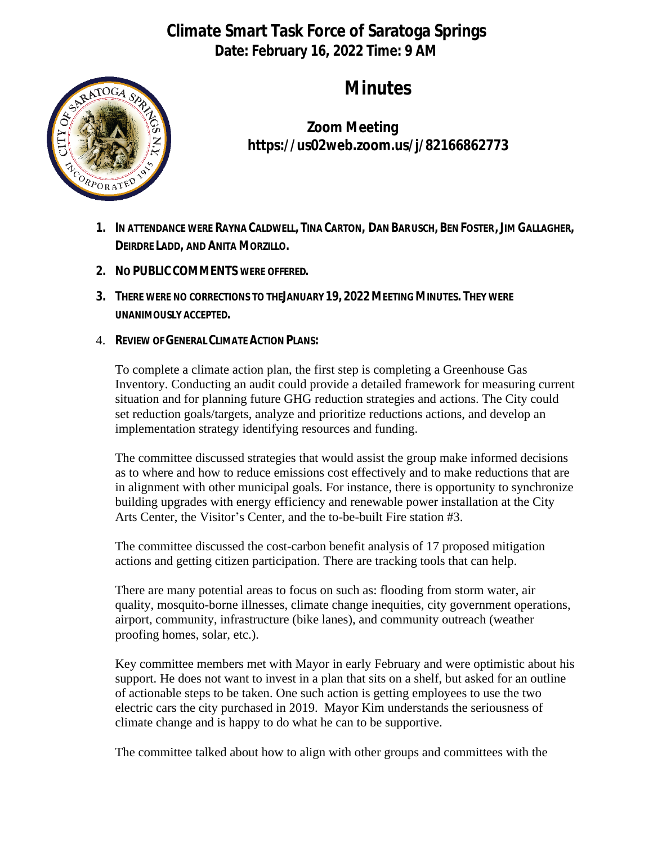## **Climate Smart Task Force of Saratoga Springs Date: February 16, 2022 Time: 9 AM**



# **Minutes**

**Zoom Meeting https://us02web.zoom.us/j/82166862773**

- 1. IN ATTENDANCE WERE RAYNA CALDWELL, TINA CARTON, DAN BARUSCH, BEN FOSTER, JIM GALLAGHER, **DEIRDRE LADD, AND ANITA MORZILLO.**
- **2. NO PUBLIC COMMENTS WERE OFFERED.**
- **3. THERE WERE NO CORRECTIONS TO THE JANUARY 19, 2022MEETING MINUTES. THEY WERE UNANIMOUSLY ACCEPTED.**
- 4. **REVIEW OF GENERAL CLIMATE ACTION PLANS:**

To complete a climate action plan, the first step is completing a Greenhouse Gas Inventory. Conducting an audit could provide a detailed framework for measuring current situation and for planning future GHG reduction strategies and actions. The City could set reduction goals/targets, analyze and prioritize reductions actions, and develop an implementation strategy identifying resources and funding.

The committee discussed strategies that would assist the group make informed decisions as to where and how to reduce emissions cost effectively and to make reductions that are in alignment with other municipal goals. For instance, there is opportunity to synchronize building upgrades with energy efficiency and renewable power installation at the City Arts Center, the Visitor's Center, and the to-be-built Fire station #3.

The committee discussed the cost-carbon benefit analysis of 17 proposed mitigation actions and getting citizen participation. There are tracking tools that can help.

There are many potential areas to focus on such as: flooding from storm water, air quality, mosquito-borne illnesses, climate change inequities, city government operations, airport, community, infrastructure (bike lanes), and community outreach (weather proofing homes, solar, etc.).

Key committee members met with Mayor in early February and were optimistic about his support. He does not want to invest in a plan that sits on a shelf, but asked for an outline of actionable steps to be taken. One such action is getting employees to use the two electric cars the city purchased in 2019. Mayor Kim understands the seriousness of climate change and is happy to do what he can to be supportive.

The committee talked about how to align with other groups and committees with the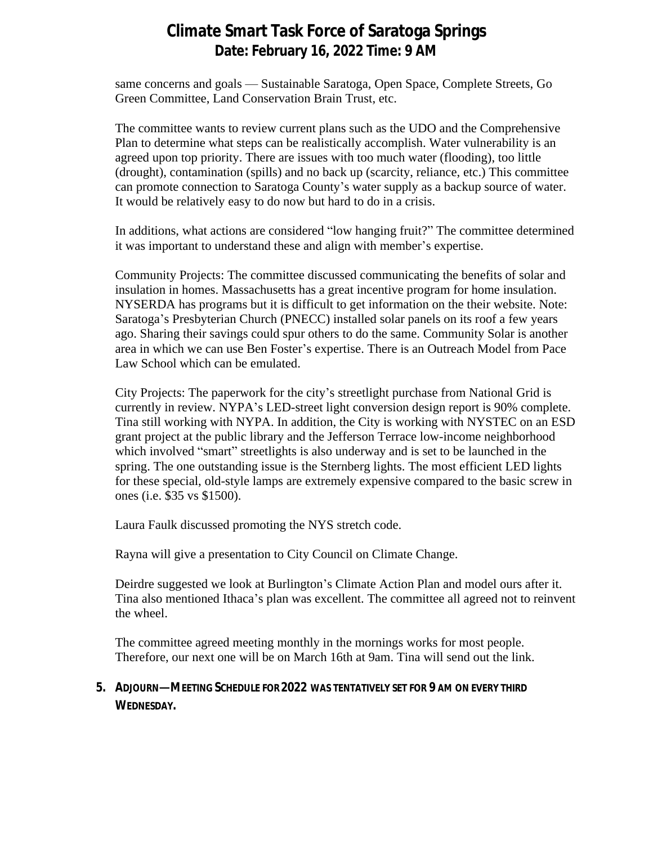### **Climate Smart Task Force of Saratoga Springs Date: February 16, 2022 Time: 9 AM**

same concerns and goals — Sustainable Saratoga, Open Space, Complete Streets, Go Green Committee, Land Conservation Brain Trust, etc.

The committee wants to review current plans such as the UDO and the Comprehensive Plan to determine what steps can be realistically accomplish. Water vulnerability is an agreed upon top priority. There are issues with too much water (flooding), too little (drought), contamination (spills) and no back up (scarcity, reliance, etc.) This committee can promote connection to Saratoga County's water supply as a backup source of water. It would be relatively easy to do now but hard to do in a crisis.

In additions, what actions are considered "low hanging fruit?" The committee determined it was important to understand these and align with member's expertise.

Community Projects: The committee discussed communicating the benefits of solar and insulation in homes. Massachusetts has a great incentive program for home insulation. NYSERDA has programs but it is difficult to get information on the their website. Note: Saratoga's Presbyterian Church (PNECC) installed solar panels on its roof a few years ago. Sharing their savings could spur others to do the same. Community Solar is another area in which we can use Ben Foster's expertise. There is an Outreach Model from Pace Law School which can be emulated.

City Projects: The paperwork for the city's streetlight purchase from National Grid is currently in review. NYPA's LED-street light conversion design report is 90% complete. Tina still working with NYPA. In addition, the City is working with NYSTEC on an ESD grant project at the public library and the Jefferson Terrace low-income neighborhood which involved "smart" streetlights is also underway and is set to be launched in the spring. The one outstanding issue is the Sternberg lights. The most efficient LED lights for these special, old-style lamps are extremely expensive compared to the basic screw in ones (i.e. \$35 vs \$1500).

Laura Faulk discussed promoting the NYS stretch code.

Rayna will give a presentation to City Council on Climate Change.

Deirdre suggested we look at Burlington's Climate Action Plan and model ours after it. Tina also mentioned Ithaca's plan was excellent. The committee all agreed not to reinvent the wheel.

The committee agreed meeting monthly in the mornings works for most people. Therefore, our next one will be on March 16th at 9am. Tina will send out the link.

#### **5. ADJOURN—MEETING SCHEDULE FOR 2022 WAS TENTATIVELY SET FOR 9 AM ON EVERY THIRD WEDNESDAY.**